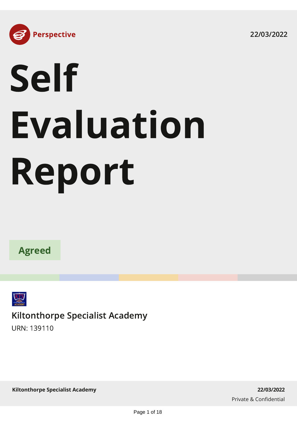22/03/2022



# Self Evaluation Report





Kiltonthorpe Specialist Academy

URN: 139110

**Kiltonthorpe Specialist Academy 22/03/2022**

Private & Confidential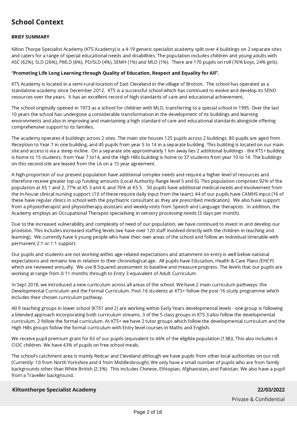# School Context

# BRIEF SUMMARY

Kilton Thorpe Specialist Academy (KTS Academy) is a 4-19 generic specialist academy split over 4 buildings on 2 separate sites and caters for a range of special educational needs and disabilities. The population includes children and young adults with ASC (62%), SLD (26%), PMLD (6%), PD/SLD (4%), SEMH (1%) and MLD (1%). There are 170 pupils on roll (76% boys, 24% girls).

## "Promoting Life Long Learning through Quality of Education, Respect and Equality for All".

KTS Academy is located in a semi-rural location of East Cleveland in the village of Brotton. The school has operated as a standalone academy since December 2012. KTS is a successful school which has continued to evolve and develop its SEND resources over the years. It has an excellent record of high standards of care and educational achievement.

The school originally opened in 1973 as a school for children with MLD, transferring to a special school in 1995. Over the last 10 years the school has undergone a considerable transformation in the development of its buildings and learning environments and also in improving and maintaining a high standard of care and educational standards alongside offering comprehensive support to its families.

The academy operates 4 buildings across 2 sites. The main site houses 125 pupils across 2 buildings. 80 pupils are aged from Reception to Year 7 in one building, and 45 pupils from year 5 to 14 in a separate building. This building is located on our main site and access is via a steep incline. On a separate site approximately 1 km away lies 2 additional buildings - the KTS+ building is home to 15 students, from Year 7 to14, and the High Hills building is home to 37 students from year 10 to 14. The buildings on this second site are leased from the LA on a 15 year agreement.

A high proportion of our present population have additional complex needs and require a higher level of resources and therefore receive greater top up funding amounts (Local Authority Range level 5 and 6). This population comprises 92% of the population at KS 1 and 2, 77% at KS 3 and 4, and 76% at KS 5. 50 pupils have additional medical needs and involvement from the in-house clinical nursing support. (10 of these require daily input from the team). 44 of our pupils have CAMHS input (16 of these have regular clinics in school with the psychiatric consultant as they are prescribed medication). We also have support from a physiotherapist and physiotherapy assistant and weekly visits from Speech and Language therapists. In addition, the Academy employs an Occupational Therapist specialising in sensory processing needs (3 days per month).

Due to the increased vulnerability and complexity of need of our population, we have continued to invest in and develop our provision. This includes increased staffing levels (we have over 120 staff involved directly with the children in teaching and learning). We currently have 6 young people who have their own areas of the school and follow an individual timetable with permanent 2:1 or 1:1 support.

Our pupils and students are not working within age-related expectations and attainment on entry is well below national expectations and remains low in relation to their chronological age. All pupils have Education, Health & Care Plans (EHCP) which are reviewed annually. We use B Squared assessment to baseline and measure progress. The levels that our pupils are working at range from 0-11 months through to Entry 3 equivalent of Adult Curriculum.

In Sept 2018, we introduced a new curriculum across all areas of the school. We have 2 main curriculum pathways: the Developmental Curriculum and the Formal Curriculum. Post-16 students at KTS+ follow the post-16 study programme which includes their chosen curriculum pathway.

All 9 teaching groups in lower school (KTS1 and 2) are working within Early Years developmental levels - one group is following a blended approach incorporating both curriculum streams. 3 of the 5 class groups in KTS 3 also follow the developmental curriculum. 2 follow the formal curriculum. At KTS+ we have 2 tutor groups which follow the developmental curriculum and the High Hills groups follow the formal curriculum with Entry level courses in Maths and English.

We receive pupil premium grant for 63 of our pupils (equivalent to 46% of the eligible population (138)). This also includes 4 CIOC children. We have 43% of pupils on free school meals.

The school's catchment area is mainly Redcar and Cleveland although we have pupils from other local authorities on our roll. (Currently: 10 from North Yorkshire and 4 from Middlesbrough). We only have a small number of pupils who are from family backgrounds other than White British (2.3%). This includes Chinese, Ethiopian, Afghanistan, and Pakistan. We also have a pupil from a Traveller background.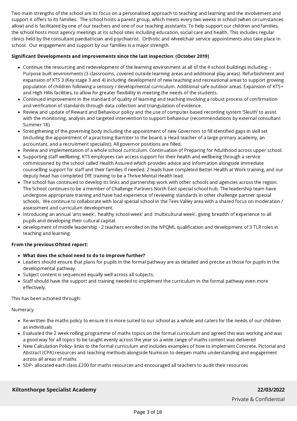Two main strengths of the school are its focus on a personalised approach to teaching and learning and the involvement and support it offers to its families. The school hosts a parent group, which meets every two weeks in school (when circumstances allow) and is facilitated by one of our teachers and one of our teaching assistants. To help support our children and families, the school hosts most agency meetings at its school sites including education, social care and health. This includes regular clinics held by the consultant paediatrician and psychiatrist. Orthotic and wheelchair service appointments also take place in school. Our engagement and support by our families is a major strength.

# Significant Developments and improvements since the last inspection: (October 2019)

- Continue the resourcing and redevelopment of the learning environment at all of the 4 school buildings including: Purpose built environments (3 classrooms, covered outside learning areas and additional play areas). Refurbishment and expansion of KTS 3 (Key stage 3 and 4) including development of new teaching and recreational areas to support growing population of children following a sensory / developmental curriculum. Additional safe outdoor areas. Expansion of KTS+ and High Hills facilities, to allow for greater flexibility in meeting the needs of the students.
- Continued improvement in the standard of quality of learning and teaching involving a robust process of confirmation and verification of standards through data collection and triangulation of evidence.
- Review and update of Reward and Behaviour policy and the use of computer based recording system 'Sleuth' to assist with the monitoring, analysis and targeted intervention to support behaviour (recommendations by external consultant Summer 18).
- Strengthening of the governing body including the appointment of new Governors to fill identified gaps in skill set (including the appointment of a practising Barrister to the board, a Head teacher of a large primary academy, an accountant, and a recruitment specialist). All governor positions are filled.
- Review and implementation of a whole school curriculum. Continuation of Preparing for Adulthood across upper school.
- Supporting staff wellbeing. KTS employees can access support for their health and wellbeing through a service commissioned by the school called Health Assured which provides advice and information alongside immediate counselling support for staff and their families if needed. 2 leads have completed Better Health at Work training, and our deputy head has completed DfE training to be a Thrive Mental Health lead.
- The school has continued to develop its links and partnership work with other schools and agencies across the region. The School continues to be a member of Challenge Partners North East special school hub. The leadership team have undergone appropriate training and have had experience of reviewing standards in other challenge partner special schools. We continue to collaborate with local special school in the Tees Valley area with a shared focus on moderation / assessment and curriculum development.
- Introducing an annual 'arts week', 'healthy school week' and 'multicultural week', giving breadth of experience to all pupils and developing their cultural capital.
- development of middle leadership 2 teachers enrolled on the NPQML qualification and development of 3 TLR roles in teaching and learning.

## From the previous Ofsted report:

- What does the school need to do to improve further?
- Leaders should ensure that plans for pupils in the formal pathway are as detailed and precise as those for pupils in the developmental pathway.
- Subject content is sequenced equally well across all subjects.
- Staff should have the support and training needed to implement the curriculum in the formal pathway even more effectively.

This has been actioned through:

Numeracy

- Re-written the maths policy to ensure it is more suited to our school as a whole and caters for the needs of our children as individuals
- Evaluated the 2 week rolling programme of maths topics on the formal curriculum and agreed this was working and was a good way for all topics to be taught evenly across the year so a wide range of maths content was delivered
- New Calculation Policy- links to the formal curriculum and includes examples of how to implement Concrete, Pictorial and Abstract (CPA) resources and teaching methods alongside Numicon to deepen maths understanding and engagement across all areas of maths
- SDP- allocated each class £200 for maths resources and encouraged all teachers to audit their resources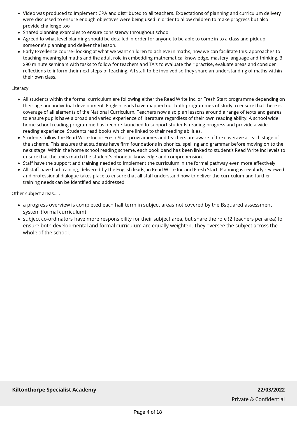- Video was produced to implement CPA and distributed to all teachers. Expectations of planning and curriculum delivery were discussed to ensure enough objectives were being used in order to allow children to make progress but also provide challenge too
- Shared planning examples to ensure consistency throughout school
- Agreed to what level planning should be detailed in order for anyone to be able to come in to a class and pick up someone's planning and deliver the lesson.
- Early Excellence course- looking at what we want children to achieve in maths, how we can facilitate this, approaches to teaching meaningful maths and the adult role in embedding mathematical knowledge, mastery language and thinking. 3 x90 minute seminars with tasks to follow for teachers and TA's to evaluate their practise, evaluate areas and consider reflections to inform their next steps of teaching. All staff to be involved so they share an understanding of maths within their own class.

## Literacy

- All students within the formal curriculum are following either the Read Write Inc. or Fresh Start programme depending on their age and individual development. English leads have mapped out both programmes of study to ensure that there is coverage of all elements of the National Curriculum. Teachers now also plan lessons around a range of texts and genres to ensure pupils have a broad and varied experience of literature regardless of their own reading ability. A school wide home school reading programme has been re-launched to support students reading progress and provide a wide reading experience. Students read books which are linked to their reading abilities.
- Students follow the Read Write Inc or Fresh Start programmes and teachers are aware of the coverage at each stage of the scheme. This ensures that students have firm foundations in phonics, spelling and grammar before moving on to the next stage. Within the home school reading scheme, each book band has been linked to student's Read Write Inc levels to ensure that the texts match the student's phonetic knowledge and comprehension.
- Staff have the support and training needed to implement the curriculum in the formal pathway even more effectively.
- All staff have had training, delivered by the English leads, in Read Write Inc and Fresh Start. Planning is regularly reviewed and professional dialogue takes place to ensure that all staff understand how to deliver the curriculum and further training needs can be identified and addressed.

Other subject areas.....

- a progress overview is completed each half term in subject areas not covered by the Bsquared assessment system (formal curriculum)
- subject co-ordinators have more responsibility for their subject area, but share the role (2 teachers per area) to ensure both developmental and formal curriculum are equally weighted. They oversee the subject across the whole of the school.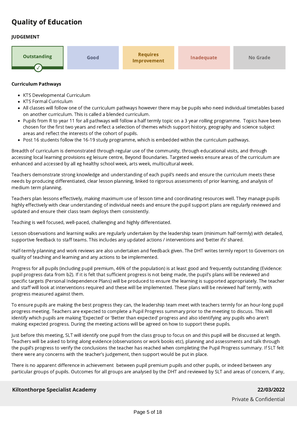# Quality of Education

# JUDGEMENT



#### Curriculum Pathways

- KTS Developmental Curriculum
- KTS Formal Curriculum
- All classes will follow one of the curriculum pathways however there may be pupils who need individual timetables based on another curriculum. This is called a blended curriculum.
- Pupils from R to year 11 for all pathways will follow a half termly topic on a 3 year rolling programme. Topics have been chosen for the first two years and reflect a selection of themes which support history, geography and science subject areas and reflect the interests of the cohort of pupils.
- Post 16 students follow the 16-19 study programme, which is embedded within the curriculum pathways.  $\bullet$

Breadth of curriculum is demonstrated through regular use of the community, through educational visits, and through accessing local learning provisions eg leisure centre, Beyond Boundaries. Targeted weeks ensure areas of the curriculum are enhanced and accessed by all eg healthy school week, arts week, multicultural week.

Teachers demonstrate strong knowledge and understanding of each pupil's needs and ensure the curriculum meets these needs by producing differentiated, clear lesson planning, linked to rigorous assessments of prior learning, and analysis of medium term planning.

Teachers plan lessons effectively, making maximum use of lesson time and coordinating resources well. They manage pupils highly effectively with clear understanding of individual needs and ensure the pupil support plans are regularly reviewed and updated and ensure their class team deploys them consistently.

Teaching is well focused, well-paced, challenging and highly differentiated.

Lesson observations and learning walks are regularly undertaken by the leadership team (minimum half-termly) with detailed, supportive feedback to staff teams. This includes any updated actions / interventions and 'better ifs' shared.

Half-termly planning and work reviews are also undertaken and feedback given. The DHT writes termly report to Governors on quality of teaching and learning and any actions to be implemented.

Progress for all pupils (including pupil premium, 46% of the population) is at least good and frequently outstanding (Evidence: pupil progress data from b2). If it is felt that sufficient progress is not being made, the pupil's plans will be reviewed and specific targets (Personal Independence Plans) will be produced to ensure the learning is supported appropriately. The teacher and staff will look at interventions required and these will be implemented. These plans will be reviewed half termly, with progress measured against them.

To ensure pupils are making the best progress they can, the leadership team meet with teachers termly for an hour-long pupil progress meeting. Teachers are expected to complete a Pupil Progress summary prior to the meeting to discuss. This will identify which pupils are making 'Expected' or 'Better than expected' progress and also identifying any pupils who aren't making expected progress. During the meeting actions will be agreed on how to support these pupils.

Just before this meeting, SLT will identify one pupil from the class group to focus on and this pupil will be discussed at length. Teachers will be asked to bring along evidence (observations or work books etc), planning and assessments and talk through the pupil's progress to verify the conclusions the teacher has reached when completing the Pupil Progress summary. If SLT felt there were any concerns with the teacher's judgement, then support would be put in place.

There is no apparent difference in achievement between pupil premium pupils and other pupils, or indeed between any particular groups of pupils. Outcomes for all groups are analysed by the DHT and reviewed by SLT and areas of concern, if any,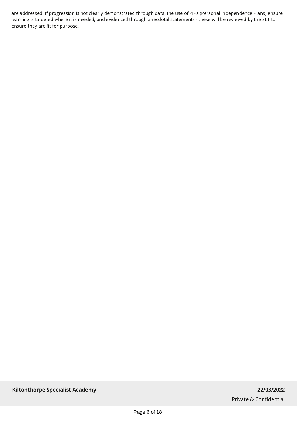are addressed. If progression is not clearly demonstrated through data, the use of PIPs (Personal Independence Plans) ensure learning is targeted where it is needed, and evidenced through anecdotal statements - these will be reviewed by the SLT to ensure they are fit for purpose.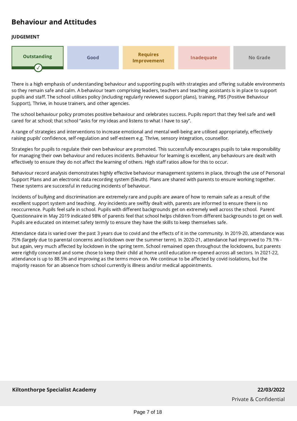# Behaviour and Attitudes

# JUDGEMENT



There is a high emphasis of understanding behaviour and supporting pupils with strategies and offering suitable environments so they remain safe and calm. A behaviour team comprising leaders, teachers and teaching assistants is in place to support pupils and staff. The school utilises policy (including regularly reviewed support plans), training, PBS (Positive Behaviour Support), Thrive, in house trainers, and other agencies.

The school behaviour policy promotes positive behaviour and celebrates success. Pupils report that they feel safe and well cared for at school; that school "asks for my ideas and listens to what I have to say".

A range of strategies and interventions to increase emotional and mental well-being are utilised appropriately, effectively raising pupils' confidence, self-regulation and self-esteem e.g. Thrive, sensory integration, counsellor.

Strategies for pupils to regulate their own behaviour are promoted. This successfully encourages pupils to take responsibility for managing their own behaviour and reduces incidents. Behaviour for learning is excellent, any behaviours are dealt with effectively to ensure they do not affect the learning of others. High staff ratios allow for this to occur.

Behaviour record analysis demonstrates highly effective behaviour management systems in place, through the use of Personal Support Plans and an electronic data recording system (Sleuth). Plans are shared with parents to ensure working together. These systems are successful in reducing incidents of behaviour.

Incidents of bullying and discrimination are extremely rare and pupils are aware of how to remain safe as a result of the excellent support system and teaching. Any incidents are swiftly dealt with, parents are informed to ensure there is no reoccurrence. Pupils feel safe in school. Pupils with different backgrounds get on extremely well across the school. Parent Questionnaire in May 2019 indicated 98% of parents feel that school helps children from different backgrounds to get on well. Pupils are educated on internet safety termly to ensure they have the skills to keep themselves safe.

Attendance data is varied over the past 3 years due to covid and the effects of it in the community. In 2019-20, attendance was 75% (largely due to parental concerns and lockdown over the summer term). In 2020-21, attendance had improved to 79.1% but again, very much affected by lockdown in the spring term. School remained open throughout the lockdowns, but parents were rightly concerned and some chose to keep their child at home until education re-opened across all sectors. In 2021-22, attendance is up to 88.5% and improving as the terms move on. We continue to be affected by covid isolations, but the majority reason for an absence from school currently is illness and/or medical appointments.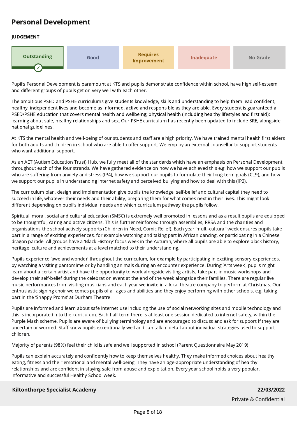# Personal Development

# JUDGEMENT



Pupil's Personal Development is paramount at KTS and pupils demonstrate confidence within school, have high self-esteem and different groups of pupils get on very well with each other.

The ambitious PSED and PSHE curriculums give students knowledge, skills and understanding to help them lead confident, healthy, independent lives and become as informed, active and responsible as they are able. Every student is guaranteed a PSED/PSHE education that covers mental health and wellbeing; physical health (including healthy lifestyles and first aid); learning about safe, healthy relationships and sex. Our PSHE curriculum has recently been updated to include SRE, alongside national guidelines.

At KTS the mental health and well-being of our students and staff are a high priority. We have trained mental health first aiders for both adults and children in school who are able to offer support. We employ an external counsellor to support students who want additional support.

As an AET (Autism Education Trust) Hub, we fully meet all of the standards which have an emphasis on Personal Development throughout each of the four strands. We have gathered evidence on how we have achieved this e.g. how we support our pupils who are suffering from anxiety and stress (IP4), how we support our pupils to formulate their long-term goals (CL9), and how we support our pupils in understanding internet safety and perceived bullying and how to deal with this (IP2).

The curriculum plan, design and implementation give pupils the knowledge, self-belief and cultural capital they need to succeed in life, whatever their needs and their ability, preparing them for what comes next in their lives. This might look different depending on pupil's individual needs and which curriculum pathway the pupils follow.

Spiritual, moral, social and cultural education (SMSC) is extremely well promoted in lessons and as a result pupils are equipped to be thoughtful, caring and active citizens. This is further reinforced through assemblies, RRSA and the charities and organisations the school actively supports (Children in Need, Comic Relief). Each year 'multi-cultural' week ensures pupils take part in a range of exciting experiences, for example watching and taking part in African dancing, or participating in a Chinese dragon parade. All groups have a 'Black History' focus week in the Autumn, where all pupils are able to explore black history, heritage, culture and achievements at a level matched to their understanding.

Pupils experience 'awe and wonder' throughout the curriculum, for example by participating in exciting sensory experiences, by watching a visiting pantomime or by handling animals during an encounter experience. During 'Arts week', pupils might learn about a certain artist and have the opportunity to work alongside visiting artists, take part in music workshops and develop their self-belief during the celebration event at the end of the week alongside their families. There are regular live music performances from visiting musicians and each year we invite in a local theatre company to perform at Christmas. Our enthusiastic signing choir welcomes pupils of all ages and abilities and they enjoy performing with other schools, e.g. taking part in the 'Snappy Proms' at Durham Theatre.

Pupils are informed and learn about safe internet use including the use of social networking sites and mobile technology and this is incorporated into the curriculum. Each half term there is at least one session dedicated to internet safety, within the Purple Mash scheme. Pupils are aware of bullying terminology and are encouraged to discuss and ask for support if they are uncertain or worried. Staff know pupils exceptionally well and can talk in detail about individual strategies used to support children.

Majority of parents (98%) feel their child is safe and well supported in school (Parent Questionnaire May 2019)

Pupils can explain accurately and confidently how to keep themselves healthy. They make informed choices about healthy eating, fitness and their emotional and mental well-being. They have an age-appropriate understanding of healthy relationships and are confident in staying safe from abuse and exploitation. Every year school holds a very popular, informative and successful Healthy School week.

# **Kiltonthorpe Specialist Academy 22/03/2022**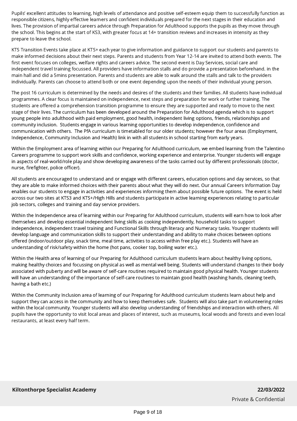Pupils' excellent attitudes to learning, high levels of attendance and positive self-esteem equip them to successfully function as responsible citizens, highly effective learners and confident individuals prepared for the next stages in their education and lives. The provision of impartial careers advice through Preparation for Adulthood supports the pupils as they move through the school. This begins at the start of KS3, with greater focus at 14+ transition reviews and increases in intensity as they prepare to leave the school.

KTS Transition Events take place at KTS+ each year to give information and guidance to support our students and parents to make informed decisions about their next steps. Parents and students from Year 12-14 are invited to attend both events. The first event focuses on colleges, welfare rights and careers advice. The second event is Day Services, social care and independent travel training focussed. All providers have information stalls and do provide a presentation beforehand. in the main hall and did a 5mins presentation. Parents and students are able to walk around the stalls and talk to the providers individually. Parents can choose to attend both or one event depending upon the needs of their individual young person.

The post 16 curriculum is determined by the needs and desires of the students and their families. All students have individual programmes. A clear focus is maintained on independence, next steps and preparation for work or further training. The students are offered a comprehension transition programme to ensure they are supported and ready to move to the next stage of their lives. The curriculum has been developed around the Preparation for Adulthood agenda which is to support young people into adulthood with paid employment, good health, independent living options, friends, relationships and community inclusion. Students engage in various learning opportunities to develop independence, confidence and communication with others. The PfA curriculum is timetabled for our older students; however the four areas (Employment, Independence, Community Inclusion and Health) link in with all students in school starting from early years.

Within the Employment area of learning within our Preparing for Adulthood curriculum, we embed learning from the Talentino Careers programme to support work skills and confidence, working experience and enterprise. Younger students will engage in aspects of real-world/role play and show developing awareness of the tasks carried out by different professionals (doctor, nurse, firefighter, police officer).

All students are encouraged to understand and or engage with different careers, education options and day services, so that they are able to make informed choices with their parents about what they will do next. Our annual Careers Information Day enables our students to engage in activities and experiences informing them about possible future options. The event is held across our two sites at KTS3 and KTS+/High Hills and students participate in active learning experiences relating to particular job sectors, colleges and training and day service providers.

Within the Independence area of learning within our Preparing for Adulthood curriculum, students will earn how to look after themselves and develop essential independent living skills as cooking independently, household tasks to support independence, independent travel training and Functional Skills through literacy and Numeracy tasks. Younger students will develop language and communication skills to support their understanding and ability to make choices between options offered (indoor/outdoor play, snack time, meal time, activities to access within free play etc.). Students will have an understanding of risk/safety within the home (hot pans, cooker top, boiling water etc.).

Within the Health area of learning of our Preparing for Adulthood curriculum students learn about healthy living options, making healthy choices and focussing on physical as well as mental well being. Students will understand changes to their body associated with puberty and will be aware of self-care routines required to maintain good physical health. Younger students will have an understanding of the importance of self-care routines to maintain good health (washing hands, cleaning teeth, having a bath etc.)

Within the Community Inclusion area of learning of our Preparing for Adulthood curriculum students learn about help and support they can access in the community and how to keep themselves safe. Students will also take part in volunteering roles within the local community. Younger students will also develop understanding of friendships and interaction with others. All pupils have the opportunity to visit local areas and places of interest, such as museums, local woods and forests and even local restaurants, at least every half term.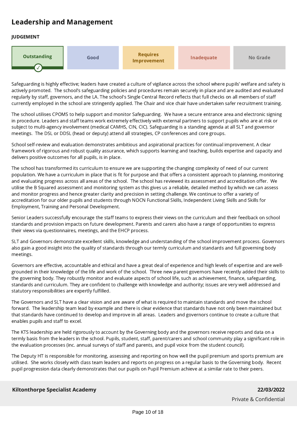# Leadership and Management

# JUDGEMENT



Safeguarding is highly effective; leaders have created a culture of vigilance across the school where pupils' welfare and safety is actively promoted. The school's safeguarding policies and procedures remain securely in place and are audited and evaluated regularly by staff, governors, and the LA. The school's Single Central Record reflects that full checks on all members of staff currently employed in the school are stringently applied. The Chair and vice chair have undertaken safer recruitment training.

The school utilises CPOMS to help support and monitor Safeguarding. We have a secure entrance area and electronic signing in procedure. Leaders and staff teams work extremely effectively with external partners to support pupils who are at risk or subject to multi-agency involvement (medical CAMHS, CIN, CIC). Safeguarding is a standing agenda at all SLT and governor meetings. The DSL or DDSL (head or deputy) attend all strategies, CP conferences and core groups.

School self-review and evaluation demonstrates ambitious and aspirational practices for continual improvement. A clear framework of rigorous and robust quality assurance, which supports learning and teaching, builds expertise and capacity and delivers positive outcomes for all pupils, is in place.

The school has transformed its curriculum to ensure we are supporting the changing complexity of need of our current population. We have a curriculum in place that is fit for purpose and that offers a consistent approach to planning, monitoring and evaluating progress across all areas of the school. The school has reviewed its assessment and accreditation offer. We utilise the B Squared assessment and monitoring system as this gives us a reliable, detailed method by which we can assess and monitor progress and hence greater clarity and precision in setting challenge. We continue to offer a variety of accreditation for our older pupils and students through NOCN Functional Skills, Independent Living Skills and Skills for Employment, Training and Personal Development.

Senior Leaders successfully encourage the staff teams to express their views on the curriculum and their feedback on school standards and provision impacts on future development. Parents and carers also have a range of opportunities to express their views via questionnaires, meetings, and the EHCP process.

SLT and Governors demonstrate excellent skills, knowledge and understanding of the school improvement process. Governors also gain a good insight into the quality of standards through our termly curriculum and standards and full governing body meetings.

Governors are effective, accountable and ethical and have a great deal of experience and high levels of expertise and are wellgrounded in their knowledge of the life and work of the school. Three new parent governors have recently added their skills to the governing body. They robustly monitor and evaluate aspects of school life, such as achievement, finance, safeguarding, standards and curriculum. They are confident to challenge with knowledge and authority; issues are very well addressed and statutory responsibilities are expertly fulfilled.

The Governors and SLT have a clear vision and are aware of what is required to maintain standards and move the school forward. The leadership team lead by example and there is clear evidence that standards have not only been maintained but that standards have continued to develop and improve in all areas. Leaders and governors continue to create a culture that enables pupils and staff to excel.

The KTS leadership are held rigorously to account by the Governing body and the governors receive reports and data on a termly basis from the leaders in the school. Pupils, student, staff, parent/carers and school community play a significant role in the evaluation processes (inc. annual surveys of staff and parents, and pupil voice from the student council).

The Deputy HT is responsible for monitoring, assessing and reporting on how well the pupil premium and sports premium are utilised. She works closely with class team leaders and reports on progress on a regular basis to the Governing body. Recent pupil progression data clearly demonstrates that our pupils on Pupil Premium achieve at a similar rate to their peers.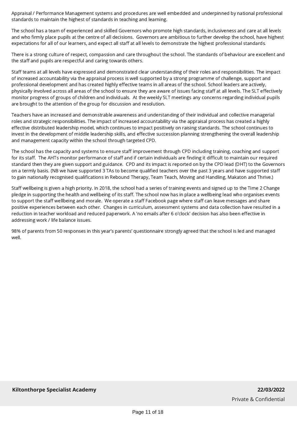Appraisal / Performance Management systems and procedures are well embedded and underpinned by national professional standards to maintain the highest of standards in teaching and learning.

The school has a team of experienced and skilled Governors who promote high standards, inclusiveness and care at all levels and who firmly place pupils at the centre of all decisions. Governors are ambitious to further develop the school, have highest expectations for all of our learners, and expect all staff at all levels to demonstrate the highest professional standards.

There is a strong culture of respect, compassion and care throughout the school. The standards of behaviour are excellent and the staff and pupils are respectful and caring towards others.

Staff teams at all levels have expressed and demonstrated clear understanding of their roles and responsibilities. The impact of increased accountability via the appraisal process is well supported by a strong programme of challenge, support and professional development and has created highly effective teams in all areas of the school. School leaders are actively, physically involved across all areas of the school to ensure they are aware of issues facing staff at all levels. The SLT effectively monitor progress of groups of children and individuals. At the weekly SLT meetings any concerns regarding individual pupils are brought to the attention of the group for discussion and resolution.

Teachers have an increased and demonstrable awareness and understanding of their individual and collective managerial roles and strategic responsibilities. The impact of increased accountability via the appraisal process has created a highly effective distributed leadership model, which continues to impact positively on raising standards. The school continues to invest in the development of middle leadership skills, and effective succession planning strengthening the overall leadership and management capacity within the school through targeted CPD.

The school has the capacity and systems to ensure staff improvement through CPD including training, coaching and support for its staff. The AHTs monitor performance of staff and if certain individuals are finding it difficult to maintain our required standard then they are given support and guidance. CPD and its impact is reported on by the CPD lead (DHT) to the Governors on a termly basis. (NB we have supported 3 TAs to become qualified teachers over the past 3 years and have supported staff to gain nationally recognised qualifications in Rebound Therapy, Team Teach, Moving and Handling, Makaton and Thrive.)

Staff wellbeing is given a high priority. In 2018, the school had a series of training events and signed up to the Time 2 Change pledge in supporting the health and wellbeing of its staff. The school now has in place a wellbeing lead who organises events to support the staff wellbeing and morale. We operate a staff Facebook page where staff can leave messages and share positive experiences between each other. Changes in curriculum, assessment systems and data collection have resulted in a reduction in teacher workload and reduced paperwork. A 'no emails after 6 o'clock' decision has also been effective in addressing work / life balance issues.

98% of parents from 50 responses in this year's parents' questionnaire strongly agreed that the school is led and managed well.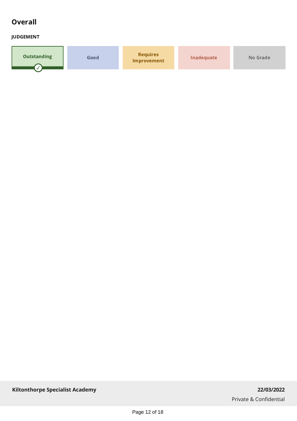# **Overall**

# JUDGEMENT

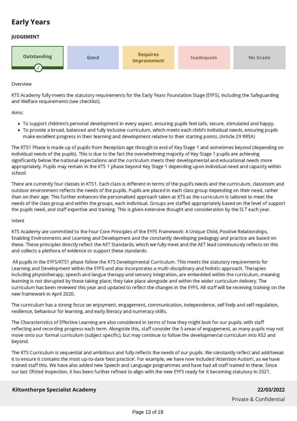# Early Years

# JUDGEMENT



#### Overview

KTS Academy fully meets the statutory requirements for the Early Years Foundation Stage (EYFS), including the Safeguarding and Welfare requirements (see checklist).

Aims:

- To support children's personal development in every aspect, ensuring pupils feel safe, secure, stimulated and happy.
- To provide a broad, balanced and fully inclusive curriculum, which meets each child's individual needs, ensuring pupils make excellent progress in their learning and development relative to their starting points. (Article 29 RRSA)

The KTS1 Phase is made up of pupils from Reception age through to end of Key Stage 1 and sometimes beyond (depending on individual needs of the pupils). This is due to the fact the overwhelming majority of Key Stage 1 pupils are achieving significantly below the national expectations and the curriculum meets their developmental and educational needs more appropriately. Pupils may remain in the KTS 1 phase beyond Key Stage 1 depending upon individual need and capacity within school.

There are currently four classes in KTS1. Each class is different in terms of the pupil's needs and the curriculum, classroom and outdoor environment reflects the needs of the pupils. Pupils are placed in each class group depending on their need, rather than on their age. This further enhances the personalised approach taken at KTS as the curriculum is tailored to meet the needs of the class group and within the groups, each individual. Groups are staffed appropriately based on the level of support the pupils need, and staff expertise and training. This is given extensive thought and consideration by the SLT each year.

#### Intent

KTS Academy are committed to the Four Core Principles of the EYFS Framework: A Unique Child, Positive Relationships, Enabling Environments and Learning and Development and the constantly developing pedagogy and practice are based on these. These principles directly reflect the AET Standards, which we fully meet and the AET lead continuously reflects on this and collects a plethora of evidence to support these standards.

 All pupils in the EYFS/KTS1 phase follow the KTS Developmental Curriculum. This meets the statutory requirements for Learning and Development within the EYFS and also incorporates a multi-disciplinary and holistic approach. Therapies including physiotherapy, speech and langue therapy and sensory integration, are embedded within the curriculum, meaning learning is not disrupted by these taking place; they take place alongside and within the wider curriculum delivery. The curriculum has been reviewed this year and updated to reflect the changes in the EYFS. All staff will be receiving training on the new framework in April 2020.

The curriculum has a strong focus on enjoyment, engagement, communication, independence, self-help and self-regulation, resilience, behaviour for learning, and early literacy and numeracy skills.

The Characteristics of Effective Learning are also considered in terms of how they might look for our pupils, with staff reflecting and recording progress each term. Alongside this, staff consider the 5 areas of engagement, as many pupils may not move onto our formal curriculum (subject specific), but may continue to follow the developmental curriculum into KS2 and beyond.

The KTS Curriculum is sequential and ambitious and fully reflects the needs of our pupils. We constantly reflect and add/tweak it to ensure it contains the most up-to-date 'best practice'. For example, we have now included 'Attention Autism', as we have trained staff this. We have also added new Speech and Language programmes and have had all staff trained in these. Since our last Ofsted inspection, it has been further refined to align with the new EYFS ready for it becoming statutory in 2021.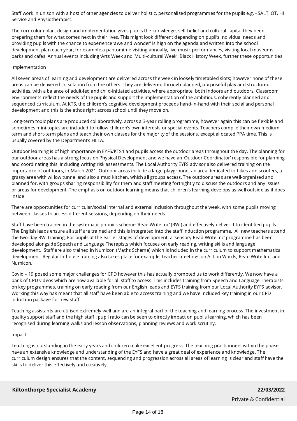Staff work in unison with a host of other agencies to deliver holistic, personalised programmes for the pupils e.g. - SALT, OT, HI Service and Physiotherapist.

The curriculum plan, design and implementation gives pupils the knowledge, self-belief and cultural capital they need, preparing them for what comes next in their lives. This might look different depending on pupil's individual needs and providing pupils with the chance to experience 'awe and wonder' is high on the agenda and written into the school development plan each year, for example a pantomime visiting annually, live music performances, visiting local museums, parks and cafes. Annual events including 'Arts Week and 'Multi-cultural Week', Black History Week, further these opportunities.

## Implementation

All seven areas of learning and development are delivered across the week in loosely timetabled slots; however none of these areas can be delivered in isolation from the others. They are delivered through planned, purposeful play and structured activities, with a balance of adult-led and child-initiated activities, where appropriate, both indoors and outdoors. Classroom environments reflect the needs of the pupils and support the implementation of the ambitious, coherently planned and sequenced curriculum. At KTS, the children's cognitive development proceeds hand-in-hand with their social and personal development and this is the ethos right across school until they move on.

Long-term topic plans are produced collaboratively, across a 3-year rolling programme, however again this can be flexible and sometimes mini-topics are included to follow children's own interests or special events. Teachers compile their own medium term and short-term plans and teach their own classes for the majority of the sessions, except allocated PPA time. This is usually covered by the Department's HLTA.

Outdoor learning is of high importance in EYFS/KTS1 and pupils access the outdoor areas throughout the day. The planning for our outdoor areas has a strong focus on Physical Development and we have an 'Outdoor Coordinator' responsible for planning and coordinating this, including writing risk assessments. The Local Authority EYFS advisor also delivered training on the importance of outdoors, in March 2021. Outdoor areas include a large playground, an area dedicated to bikes and scooters, a grassy area with willow tunnel and also a mud kitchen, which all groups access. The outdoor areas are well-organised and planned for, with groups sharing responsibility for them and staff meeting fortnightly to discuss the outdoors and any issues or areas for development. The emphasis on outdoor learning means that children's learning develops as well outside as it does inside.

There are opportunities for curricular/social internal and external inclusion throughout the week, with some pupils moving between classes to access different sessions, depending on their needs.

Staff have been trained in the systematic phonics scheme 'Read Write Inc' (RWI) and effectively deliver it to identified pupils. The English leads ensure all staff are trained and this is integrated into the staff induction programme. All new teachers attend the two-day RWI training. For pupils at the earlier stages of development, a 'sensory Read Write Inc' programme has been developed alongside Speech and Language Therapists which focuses on early reading, writing skills and language development. Staff are also trained in Numicon (Maths Scheme) which is included in the curriculum to support mathematical development. Regular In-house training also takes place for example, teacher meetings on Action Words, Read Write Inc. and Numicon.

Covid - 19 posed some major challenges for CPD however this has actually prompted us to work differently. We now have a bank of CPD videos which are now available for all staff to access. This includes training from Speech and Language Therapists on key programmes, training on early reading from our English leads and EYFS training from our Local Authority EYFS advisor. Working this way has meant that all staff have been able to access training and we have included key training in our CPD induction package for new staff.

Teaching assistants are utilised extremely well and are an integral part of the teaching and learning process. The investment in quality support staff and the high staff : pupil ratio can be seen to directly impact on pupils learning, which has been recognised during learning walks and lesson observations, planning reviews and work scrutiny.

## Impact

Teaching is outstanding in the early years and children make excellent progress. The teaching practitioners within the phase have an extensive knowledge and understanding of the EYFS and have a great deal of experience and knowledge. The curriculum design ensures that the content, sequencing and progression across all areas of learning is clear and staff have the skills to deliver this effectively and creatively.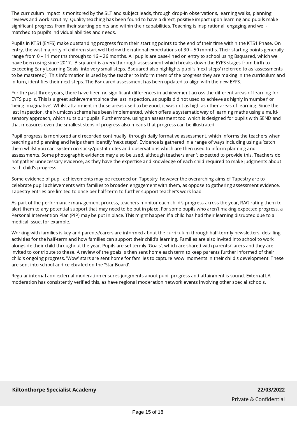The curriculum impact is monitored by the SLT and subject leads, through drop-in observations, learning walks, planning reviews and work scrutiny. Quality teaching has been found to have a direct, positive impact upon learning and pupils make significant progress from their starting points and within their capabilities. Teaching is inspirational, engaging and wellmatched to pupil's individual abilities and needs.

Pupils in KTS1 (EYFS) make outstanding progress from their starting points to the end of their time within the KTS1 Phase. On entry, the vast majority of children start well below the national expectations of 30 – 50 months. Their starting points generally range from 0 – 11 months through to 16 – 26 months. All pupils are base-lined on entry to school using Bsquared, which we have been using since 2017. B squared is a very thorough assessment which breaks down the EYFS stages from birth to exceeding Early Learning Goals, into very small steps. Bsquared also highlights pupil's 'next steps' (referred to as 'assessments to be mastered'). This information is used by the teacher to inform them of the progress they are making in the curriculum and in turn, identifies their next steps. The Bsquared assessment has been updated to align with the new EYFS.

For the past three years, there have been no significant differences in achievement across the different areas of learning for EYFS pupils. This is a great achievement since the last inspection, as pupils did not used to achieve as highly in 'number' or 'being imaginative'. Whilst attainment in those areas used to be good, it was not as high as other areas of learning. Since the last inspection, the Numicon scheme has been implemented, which offers a systematic way of learning maths using a multisensory approach, which suits our pupils. Furthermore, using an assessment tool which is designed for pupils with SEND and that measures even the smallest steps of progress also means that progress can be illustrated.

Pupil progress is monitored and recorded continually, through daily formative assessment, which informs the teachers when teaching and planning and helps them identify 'next steps'. Evidence is gathered in a range of ways including using a 'catch them whilst you can' system on sticky/post-it notes and observations which are then used to inform planning and assessments. Some photographic evidence may also be used, although teachers aren't expected to provide this. Teachers do not gather unnecessary evidence, as they have the expertise and knowledge of each child required to make judgments about each child's progress.

Some evidence of pupil achievements may be recorded on Tapestry, however the overarching aims of Tapestry are to celebrate pupil achievements with families to broaden engagement with them, as oppose to gathering assessment evidence. Tapestry entries are limited to once per half-term to further support teacher's work load.

As part of the performance management process, teachers monitor each child's progress across the year, RAG rating them to alert them to any potential support that may need to be put in place. For some pupils who aren't making expected progress, a Personal Intervention Plan (PIP) may be put in place. This might happen if a child has had their learning disrupted due to a medical issue, for example.

Working with families is key and parents/carers are informed about the curriculum through half-termly newsletters, detailing activities for the half-term and how families can support their child's learning. Families are also invited into school to work alongside their child throughout the year. Pupils are set termly 'Goals', which are shared with parents/carers and they are invited to contribute to these. A review of the goals is then sent home each term to keep parents further informed of their child's ongoing progress. 'Wow' stars are sent home for families to capture 'wow' moments in their child's development. These are sent into school and celebrated on the 'Star Board'.

Regular internal and external moderation ensures judgments about pupil progress and attainment is sound. External LA moderation has consistently verified this, as have regional moderation network events involving other special schools.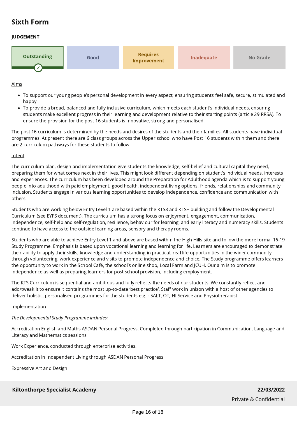# Sixth Form

# JUDGEMENT



#### Aims

- To support our young people's personal development in every aspect, ensuring students feel safe, secure, stimulated and happy.
- To provide a broad, balanced and fully inclusive curriculum, which meets each student's individual needs, ensuring students make excellent progress in their learning and development relative to their starting points (article 29 RRSA). To ensure the provision for the post 16 students is innovative, strong and personalised.

The post 16 curriculum is determined by the needs and desires of the students and their families. All students have individual programmes. At present there are 6 class groups across the Upper school who have Post 16 students within them and there are 2 curriculum pathways for these students to follow.

#### Intent

The curriculum plan, design and implementation give students the knowledge, self-belief and cultural capital they need, preparing them for what comes next in their lives. This might look different depending on student's individual needs, interests and experiences. The curriculum has been developed around the Preparation for Adulthood agenda which is to support young people into adulthood with paid employment, good health, independent living options, friends, relationships and community inclusion. Students engage in various learning opportunities to develop independence, confidence and communication with others.

Students who are working below Entry Level 1 are based within the KTS3 and KTS+ building and follow the Developmental Curriculum (see EYFS document). The curriculum has a strong focus on enjoyment, engagement, communication, independence, self-help and self-regulation, resilience, behaviour for learning, and early literacy and numeracy skills. Students continue to have access to the outside learning areas, sensory and therapy rooms.

Students who are able to achieve Entry Level 1 and above are based within the High Hills site and follow the more formal 16-19 Study Programme. Emphasis is based upon vocational learning and learning for life. Learners are encouraged to demonstrate their ability to apply their skills, knowledge and understanding in practical, real life opportunities in the wider community through volunteering, work experience and visits to promote independence and choice. The Study programme offers learners the opportunity to work in the School Café, the school's online shop, Local Farm and JCUH. Our aim is to promote independence as well as preparing learners for post school provision, including employment.

The KTS Curriculum is sequential and ambitious and fully reflects the needs of our students. We constantly reflect and add/tweak it to ensure it contains the most up-to-date 'best practice'. Staff work in unison with a host of other agencies to deliver holistic, personalised programmes for the students e.g. - SALT, OT, HI Service and Physiotherapist.

## Implementation

## The Developmental Study Programme includes:

Accreditation English and Maths ASDAN Personal Progress. Completed through participation in Communication, Language and Literacy and Mathematics sessions

Work Experience, conducted through enterprise activities.

Accreditation in Independent Living through ASDAN Personal Progress

Expressive Art and Design

**Kiltonthorpe Specialist Academy 22/03/2022**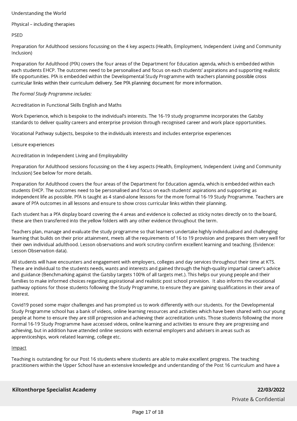## Understanding the World

#### Physical – including therapies

PSED

Preparation for Adulthood sessions focussing on the 4 key aspects (Health, Employment, Independent Living and Community Inclusion)

Preparation for Adulthood (PfA) covers the four areas of the Department for Education agenda, which is embedded within each students EHCP. The outcomes need to be personalised and focus on each students' aspirations and supporting realistic life opportunities. PfA is embedded within the Developmental Study Programme with teachers planning possible cross curricular links within their curriculum delivery. See PfA planning document for more information.

#### The Formal Study Programme includes:

Accreditation in Functional Skills English and Maths

Work Experience, which is bespoke to the individual's interests. The 16-19 study programme incorporates the Gatsby standards to deliver quality careers and enterprise provision through recognised career and work place opportunities.

Vocational Pathway subjects, bespoke to the individuals interests and includes enterprise experiences

Leisure experiences

Accreditation in Independent Living and Employability

Preparation for Adulthood sessions focussing on the 4 key aspects (Health, Employment, Independent Living and Community Inclusion) See below for more details.

Preparation for Adulthood covers the four areas of the Department for Education agenda, which is embedded within each students EHCP. The outcomes need to be personalised and focus on each students' aspirations and supporting as independent life as possible. PfA is taught as 4 stand-alone lessons for the more formal 16-19 Study Programme. Teachers are aware of PfA outcomes in all lessons and ensure to show cross curricular links within their planning.

Each student has a PfA display board covering the 4 areas and evidence is collected as sticky notes directly on to the board, these are then transferred into the yellow folders with any other evidence throughout the term.

Teachers plan, manage and evaluate the study programme so that learners undertake highly individualised and challenging learning that builds on their prior attainment, meets all the requirements of 16 to 19 provision and prepares them very well for their own individual adulthood. Lesson observations and work scrutiny confirm excellent learning and teaching. (Evidence: Lesson Observation data).

All students will have encounters and engagement with employers, colleges and day services throughout their time at KTS. These are individual to the students needs, wants and interests and gained through the high-quality impartial career's advice and guidance (Benchmarking against the Gatsby targets 100% of all targets met.). This helps our young people and their families to make informed choices regarding aspirational and realistic post school provision. It also informs the vocational pathway options for those students following the Study Programme, to ensure they are gaining qualifications in their area of interest.

Covid19 posed some major challenges and has prompted us to work differently with our students. For the Developmental Study Programme school has a bank of videos, online learning resources and activities which have been shared with our young people at home to ensure they are still progression and achieving their accreditation units. Those students following the more Formal 16-19 Study Programme have accessed videos, online learning and activities to ensure they are progressing and achieving, but in addition have attended online sessions with external employers and advisers in areas such as apprenticeships, work related learning, college etc.

## Impact

Teaching is outstanding for our Post 16 students where students are able to make excellent progress. The teaching practitioners within the Upper School have an extensive knowledge and understanding of the Post 16 curriculum and have a